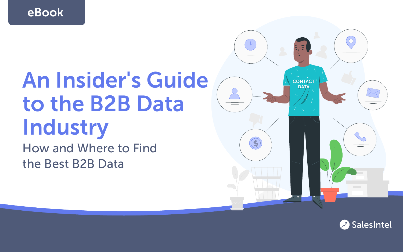eBook

# An Insider's Guide to the B2B Data **Industry**

How and Where to Find the Best B2B Data



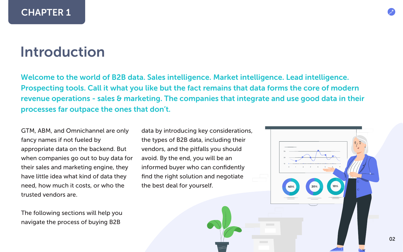## Introduction

Welcome to the world of B2B data. Sales intelligence. Market intelligence. Lead intelligence. Prospecting tools. Call it what you like but the fact remains that data forms the core of modern revenue operations - sales & marketing. The companies that integrate and use good data in their processes far outpace the ones that don't.

GTM, ABM, and Omnichannel are only fancy names if not fueled by appropriate data on the backend. But when companies go out to buy data for their sales and marketing engine, they have little idea what kind of data they need, how much it costs, or who the trusted vendors are.

The following sections will help you navigate the process of buying B2B

data by introducing key considerations, the types of B2B data, including their vendors, and the pitfalls you should avoid. By the end, you will be an informed buyer who can confidently find the right solution and negotiate the best deal for yourself.

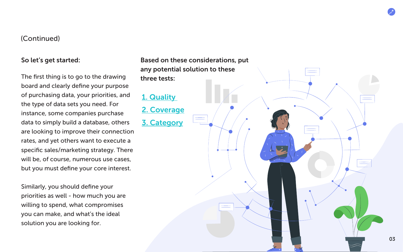#### So let's get started:

The first thing is to go to the drawing board and clearly define your purpose of purchasing data, your priorities, and the type of data sets you need. For instance, some companies purchase data to simply build a database, others are looking to improve their connection rates, and yet others want to execute a specific sales/marketing strategy. There will be, of course, numerous use cases, but you must define your core interest.

Similarly, you should define your priorities as well - how much you are willing to spend, what compromises you can make, and what's the ideal solution you are looking for.

Based on these considerations, put any potential solution to these three tests:

### [1. Quality](#page-3-0)

[2. Coverage](#page-5-0) [3. Category](#page-6-0)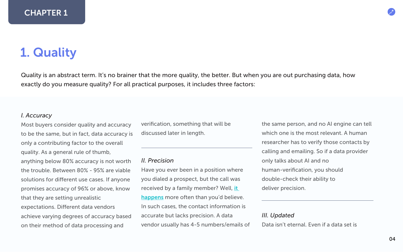### <span id="page-3-0"></span>1. Quality

Quality is an abstract term. It's no brainer that the more quality, the better. But when you are out purchasing data, how exactly do you measure quality? For all practical purposes, it includes three factors:

#### *I. Accuracy*

Most buyers consider quality and accuracy to be the same, but in fact, data accuracy is only a contributing factor to the overall quality. As a general rule of thumb, anything below 80% accuracy is not worth the trouble. Between 80% - 95% are viable solutions for different use cases. If anyone promises accuracy of 96% or above, know that they are setting unrealistic expectations. Different data vendors achieve varying degrees of accuracy based on their method of data processing and

verification, something that will be discussed later in length.

#### *II. Precision*

Have you ever been in a position where you dialed a prospect, but the call was received by a family member? Well, [it](https://www.g2.com/products/leadiq/reviews/leadiq-review-1425219)  [happens](https://www.g2.com/products/leadiq/reviews/leadiq-review-1425219) more often than you'd believe. In such cases, the contact information is accurate but lacks precision. A data vendor usually has 4-5 numbers/emails of the same person, and no AI engine can tell which one is the most relevant. A human researcher has to verify those contacts by calling and emailing. So if a data provider only talks about AI and no human-verification, you should double-check their ability to deliver precision.

#### *III. Updated*

Data isn't eternal. Even if a data set is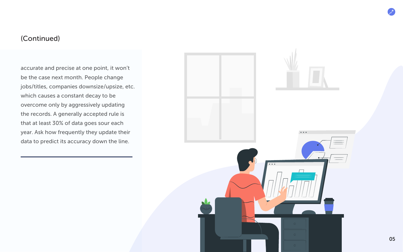accurate and precise at one point, it won't be the case next month. People change jobs/titles, companies downsize/upsize, etc. which causes a constant decay to be overcome only by aggressively updating the records. A generally accepted rule is that at least 30% of data goes sour each year. Ask how frequently they update their data to predict its accuracy down the line.

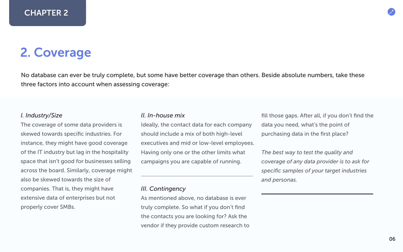### <span id="page-5-0"></span>2. Coverage

No database can ever be truly complete, but some have better coverage than others. Beside absolute numbers, take these three factors into account when assessing coverage:

#### *I. Industry/Size*

The coverage of some data providers is skewed towards specific industries. For instance, they might have good coverage of the IT industry but lag in the hospitality space that isn't good for businesses selling across the board. Similarly, coverage might also be skewed towards the size of companies. That is, they might have extensive data of enterprises but not properly cover SMBs.

#### *II. In-house mix*

Ideally, the contact data for each company should include a mix of both high-level executives and mid or low-level employees. Having only one or the other limits what campaigns you are capable of running.

#### *III. Contingency*

As mentioned above, no database is ever truly complete. So what if you don't find the contacts you are looking for? Ask the vendor if they provide custom research to fill those gaps. After all, if you don't find the data you need, what's the point of purchasing data in the first place?

*The best way to test the quality and coverage of any data provider is to ask for specific samples of your target industries and personas.*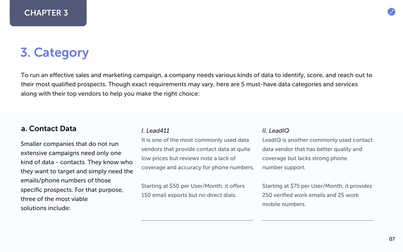### <span id="page-6-0"></span>3. Category

To run an effective sales and marketing campaign, a company needs various kinds of data to identify, score, and reach out to their most qualified prospects. Though exact requirements may vary, here are 5 must-have data categories and services along with their top vendors to help you make the right choice:

#### a. Contact Data

Smaller companies that do not run extensive campaigns need only one kind of data - contacts. They know who they want to target and simply need the emails/phone numbers of those specific prospects. For that purpose, three of the most viable solutions include:

#### *I. Lead411*

It is one of the most commonly used data vendors that provide contact data at quite low prices but reviews note a lack of coverage and accuracy for phone numbers.

Starting at \$50 per User/Month, it offers 150 email exports but no direct dials.

#### *II. LeadIQ*

LeadIQ is another commonly used contact data vendor that has better quality and coverage but lacks strong phone number support.

Starting at \$75 per User/Month, it provides 250 verified work emails and 25 work mobile numbers.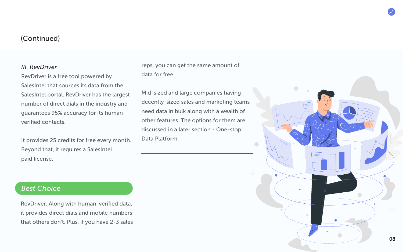#### *III. RevDriver*

RevDriver is a free tool powered by SalesIntel that sources its data from the SalesIntel portal. RevDriver has the largest number of direct dials in the industry and guarantees 95% accuracy for its humanverified contacts.

It provides 25 credits for free every month. Beyond that, it requires a SalesIntel paid license.

#### reps, you can get the same amount of data for free.

Mid-sized and large companies having decently-sized sales and marketing teams need data in bulk along with a wealth of other features. The options for them are discussed in a later section - One-stop Data Platform.

#### *Best Choice*

RevDriver. Along with human-verified data, it provides direct dials and mobile numbers that others don't. Plus, if you have 2-3 sales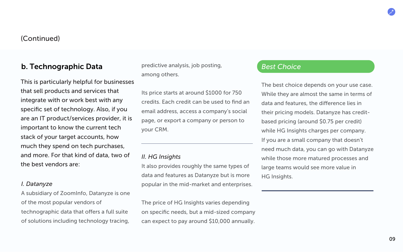#### b. Technographic Data

This is particularly helpful for businesses that sell products and services that integrate with or work best with any specific set of technology. Also, if you are an IT product/services provider, it is important to know the current tech stack of your target accounts, how much they spend on tech purchases, and more. For that kind of data, two of the best vendors are:

#### *I. Datanyze*

A subsidiary of ZoomInfo, Datanyze is one of the most popular vendors of technographic data that offers a full suite of solutions including technology tracing,

predictive analysis, job posting, among others.

Its price starts at around \$1000 for 750 credits. Each credit can be used to find an email address, access a company's social page, or export a company or person to your CRM.

#### *II. HG Insights*

It also provides roughly the same types of data and features as Datanyze but is more popular in the mid-market and enterprises.

The price of HG Insights varies depending on specific needs, but a mid-sized company can expect to pay around \$10,000 annually.

#### *Best Choice*

The best choice depends on your use case. While they are almost the same in terms of data and features, the difference lies in their pricing models. Datanyze has creditbased pricing (around \$0.75 per credit) while HG Insights charges per company. If you are a small company that doesn't need much data, you can go with Datanyze while those more matured processes and large teams would see more value in HG Insights.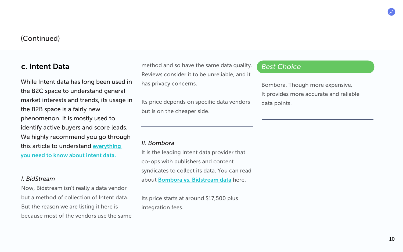#### c. Intent Data

While Intent data has long been used in the B2C space to understand general market interests and trends, its usage in the B2B space is a fairly new phenomenon. It is mostly used to identify active buyers and score leads. We highly recommend you go through this article to understand [everything](https://salesintel.io/blog/intent-data-quality-good-bad-ugly/)  [you need to know about intent data.](https://salesintel.io/blog/intent-data-quality-good-bad-ugly/)

#### *I. BidStream*

Now, Bidstream isn't really a data vendor but a method of collection of Intent data. But the reason we are listing it here is because most of the vendors use the same method and so have the same data quality. Reviews consider it to be unreliable, and it has privacy concerns.

Its price depends on specific data vendors but is on the cheaper side.

#### *II. Bombora*

It is the leading Intent data provider that co-ops with publishers and content syndicates to collect its data. You can read about [Bombora vs. Bidstream data](https://knowledge.bombora.com/home/bombora-co-op-vs-bidstream-intent-data-information) here.

Its price starts at around \$17,500 plus integration fees.

#### *Best Choice*

Bombora. Though more expensive, It provides more accurate and reliable data points.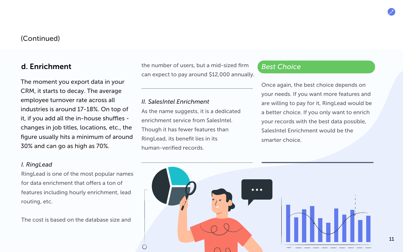#### d. Enrichment

The moment you export data in your CRM, it starts to decay. The average employee turnover rate across all industries is around 17-18%. On top of it, if you add all the in-house shuffles changes in job titles, locations, etc., the figure usually hits a minimum of around 30% and can go as high as 70%.

#### *I. RingLead*

RingLead is one of the most popular names for data enrichment that offers a ton of features including hourly enrichment, lead routing, etc.

The cost is based on the database size and

the number of users, but a mid-sized firm *Best Choice* can expect to pay around \$12,000 annually.

#### *II. SalesIntel Enrichment*

As the name suggests, it is a dedicated enrichment service from SalesIntel. Though it has fewer features than RingLead, its benefit lies in its human-verified records.

Once again, the best choice depends on your needs. If you want more features and are willing to pay for it, RingLead would be a better choice. If you only want to enrich your records with the best data possible, SalesIntel Enrichment would be the smarter choice.

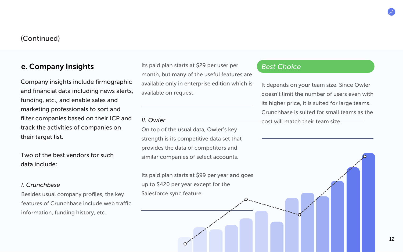#### e. Company Insights

Company insights include firmographic and financial data including news alerts, funding, etc., and enable sales and marketing professionals to sort and filter companies based on their ICP and track the activities of companies on their target list.

Two of the best vendors for such data include:

#### *I. Crunchbase*

Besides usual company profiles, the key features of Crunchbase include web traffic information, funding history, etc.

Its paid plan starts at \$29 per user per month, but many of the useful features are available only in enterprise edition which is available on request.

#### *II. Owler*

On top of the usual data, Owler's key strength is its competitive data set that provides the data of competitors and similar companies of select accounts.

Its paid plan starts at \$99 per year and goes up to \$420 per year except for the Salesforce sync feature.

#### *Best Choice*

It depends on your team size. Since Owler doesn't limit the number of users even with its higher price, it is suited for large teams. Crunchbase is suited for small teams as the cost will match their team size.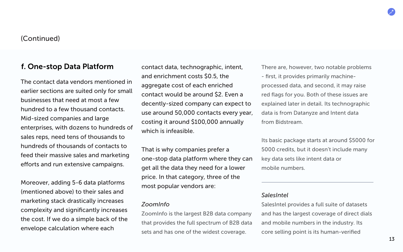#### f. One-stop Data Platform

The contact data vendors mentioned in earlier sections are suited only for small businesses that need at most a few hundred to a few thousand contacts. Mid-sized companies and large enterprises, with dozens to hundreds of sales reps, need tens of thousands to hundreds of thousands of contacts to feed their massive sales and marketing efforts and run extensive campaigns.

Moreover, adding 5-6 data platforms (mentioned above) to their sales and marketing stack drastically increases complexity and significantly increases the cost. If we do a simple back of the envelope calculation where each

contact data, technographic, intent, and enrichment costs \$0.5, the aggregate cost of each enriched contact would be around \$2. Even a decently-sized company can expect to use around 50,000 contacts every year, costing it around \$100,000 annually which is infeasible.

That is why companies prefer a one-stop data platform where they can get all the data they need for a lower price. In that category, three of the most popular vendors are:

#### *ZoomInfo*

ZoomInfo is the largest B2B data company that provides the full spectrum of B2B data sets and has one of the widest coverage.

There are, however, two notable problems - first, it provides primarily machineprocessed data, and second, it may raise red flags for you. Both of these issues are explained later in detail. Its technographic data is from Datanyze and Intent data from Bidstream.

Its basic package starts at around \$5000 for 5000 credits, but it doesn't include many key data sets like intent data or mobile numbers.

#### *SalesIntel*

SalesIntel provides a full suite of datasets and has the largest coverage of direct dials and mobile numbers in the industry. Its core selling point is its human-verified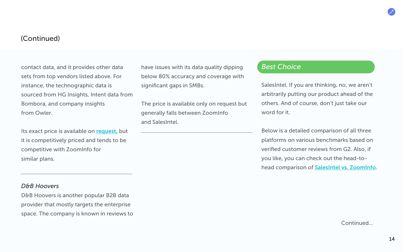contact data, and it provides other data sets from top vendors listed above. For instance, the technographic data is sourced from HG Insights, Intent data from Bombora, and company insights from Owler.

Its exact price is available on [request,](https://salesintel.io/salesintel-pricing-contact-data-for-account-based-marketing/) but it is competitively priced and tends to be competitive with ZoomInfo for similar plans.

#### *D&B Hoovers*

D&B Hoovers is another popular B2B data provider that mostly targets the enterprise space. The company is known in reviews to have issues with its data quality dipping below 80% accuracy and coverage with significant gaps in SMBs.

The price is available only on request but generally falls between ZoomInfo and SalesIntel.

#### *Best Choice*

SalesIntel. If you are thinking, no, we aren't arbitrarily putting our product ahead of the others. And of course, don't just take our word for it.

Below is a detailed comparison of all three platforms on various benchmarks based on verified customer reviews from G2. Also, if you like, you can check out the head-tohead comparison of [SalesIntel vs. ZoomInfo.](https://salesintel.io/blog/best-zoominfo-alternative/) 

Continued...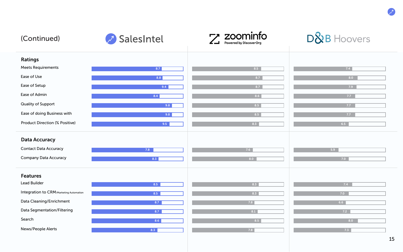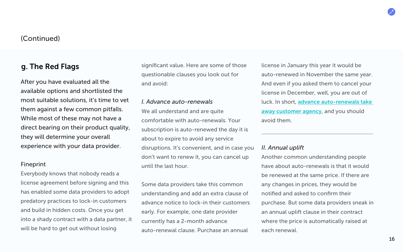#### g. The Red Flags

After you have evaluated all the available options and shortlisted the most suitable solutions, it's time to vet them against a few common pitfalls. While most of these may not have a direct bearing on their product quality, they will determine your overall experience with your data provider.

#### Fineprint

Everybody knows that nobody reads a license agreement before signing and this has enabled some data providers to adopt predatory practices to lock-in customers and build in hidden costs. Once you get into a shady contract with a data partner, it will be hard to get out without losing

significant value. Here are some of those questionable clauses you look out for and avoid:

#### *I. Advance auto-renewals*

We all understand and are quite comfortable with auto-renewals. Your subscription is auto-renewed the day it is about to expire to avoid any service disruptions. It's convenient, and in case you don't want to renew it, you can cancel up until the last hour.

Some data providers take this common understanding and add an extra clause of advance notice to lock-in their customers early. For example, one date provider currently has a 2-month advance auto-renewal clause. Purchase an annual

license in January this year it would be auto-renewed in November the same year. And even if you asked them to cancel your license in December, well, you are out of luck. In short, [advance auto-renewals take](https://salesintel.io/blog/why-auto-renewal-clauses-suck-and-how-to-avoid-them/)  [away customer agency](https://salesintel.io/blog/why-auto-renewal-clauses-suck-and-how-to-avoid-them/), and you should avoid them.

#### *II. Annual uplift*

Another common understanding people have about auto-renewals is that it would be renewed at the same price. If there are any changes in prices, they would be notified and asked to confirm their purchase. But some data providers sneak in an annual uplift clause in their contract where the price is automatically raised at each renewal.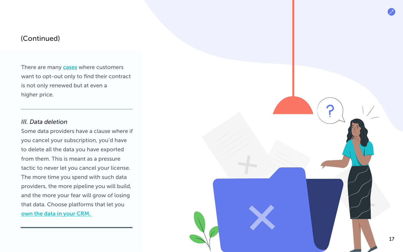There are many **[cases](https://www.g2.com/products/zoominfo/reviews/zoominfo-review-3817452)** where customers want to opt-out only to find their contract is not only renewed but at even a higher price.

#### *III. Data deletion*

Some data providers have a clause where if you cancel your subscription, you'd have to delete all the data you have exported from them. This is meant as a pressure tactic to never let you cancel your license. The more time you spend with such data providers, the more pipeline you will build, and the more your fear will grow of losing that data. Choose platforms that let you own the data in your CRM.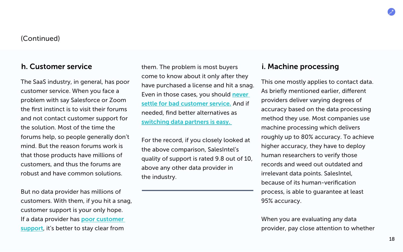#### h. Customer service

The SaaS industry, in general, has poor customer service. When you face a problem with say Salesforce or Zoom the first instinct is to visit their forums and not contact customer support for the solution. Most of the time the forums help, so people generally don't mind. But the reason forums work is that those products have millions of customers, and thus the forums are robust and have common solutions.

But no data provider has millions of customers. With them, if you hit a snag, customer support is your only hope. If a data provider has [poor customer](https://www.g2.com/products/zoominfo/reviews/zoominfo-review-4242641)  [support](https://www.g2.com/products/zoominfo/reviews/zoominfo-review-4242641), it's better to stay clear from

them. The problem is most buyers come to know about it only after they have purchased a license and hit a snag. Even in those cases, you should [never](https://salesintel.io/blog/dont-settle-for-bad-customer-service-from-your-data-provider/)  [settle for bad customer service.](https://salesintel.io/blog/dont-settle-for-bad-customer-service-from-your-data-provider/) And if needed, find better alternatives as [switching data partners is easy.](https://salesintel.io/blog/switching-data-partners-is-easy/) 

For the record, if you closely looked at the above comparison, SalesIntel's quality of support is rated 9.8 out of 10, above any other data provider in the industry.

#### i. Machine processing

This one mostly applies to contact data. As briefly mentioned earlier, different providers deliver varying degrees of accuracy based on the data processing method they use. Most companies use machine processing which delivers roughly up to 80% accuracy. To achieve higher accuracy, they have to deploy human researchers to verify those records and weed out outdated and irrelevant data points. SalesIntel, because of its human-verification process, is able to guarantee at least 95% accuracy.

When you are evaluating any data provider, pay close attention to whether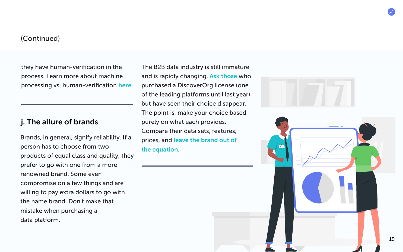they have human-verification in the process. Learn more about machine processing vs. human-verification [here.](https://salesintel.io/blog/the-data-battle-machine-processed-data-vs-human-verified-data/)

#### j. The allure of brands

Brands, in general, signify reliability. If a person has to choose from two products of equal class and quality, they prefer to go with one from a more renowned brand. Some even compromise on a few things and are willing to pay extra dollars to go with the name brand. Don't make that mistake when purchasing a data platform.

The B2B data industry is still immature and is rapidly changing. [Ask those](https://www.g2.com/products/zoominfo/reviews/zoominfo-review-2018784) who purchased a DiscoverOrg license (one of the leading platforms until last year) but have seen their choice disappear. The point is, make your choice based purely on what each provides. Compare their data sets, features, prices, and [leave the brand out of](https://salesintel.io/blog/what-will-you-choose-big-brand-or-data-accuracy/) [the equation.](https://salesintel.io/blog/what-will-you-choose-big-brand-or-data-accuracy/)